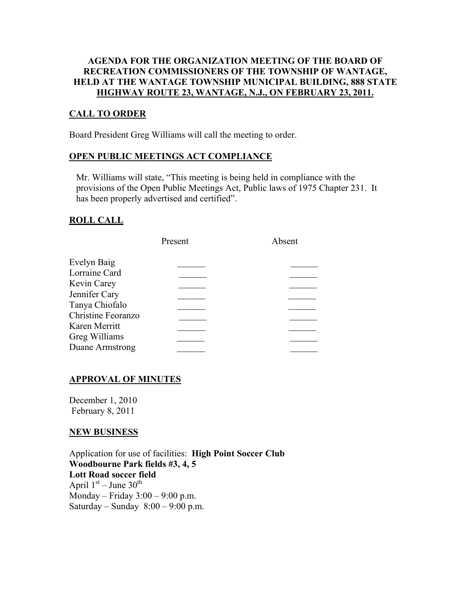## AGENDA FOR THE ORGANIZATION MEETING OF THE BOARD OF RECREATION COMMISSIONERS OF THE TOWNSHIP OF WANTAGE, HELD AT THE WANTAGE TOWNSHIP MUNICIPAL BUILDING, 888 STATE HIGHWAY ROUTE 23, WANTAGE, N.J., ON FEBRUARY 23, 2011.

## CALL TO ORDER

Board President Greg Williams will call the meeting to order.

### OPEN PUBLIC MEETINGS ACT COMPLIANCE

 Mr. Williams will state, "This meeting is being held in compliance with the provisions of the Open Public Meetings Act, Public laws of 1975 Chapter 231. It has been properly advertised and certified".

## ROLL CALL

|                    | Present | Absent |
|--------------------|---------|--------|
| Evelyn Baig        |         |        |
| Lorraine Card      |         |        |
| Kevin Carey        |         |        |
| Jennifer Cary      |         |        |
| Tanya Chiofalo     |         |        |
| Christine Feoranzo |         |        |
| Karen Merritt      |         |        |
| Greg Williams      |         |        |
| Duane Armstrong    |         |        |
|                    |         |        |

# APPROVAL OF MINUTES

December 1, 2010 February 8, 2011

### NEW BUSINESS

Application for use of facilities: High Point Soccer Club Woodbourne Park fields #3, 4, 5 Lott Road soccer field April  $1<sup>st</sup>$  – June  $30<sup>th</sup>$ Monday – Friday 3:00 – 9:00 p.m. Saturday – Sunday  $8:00 - 9:00$  p.m.